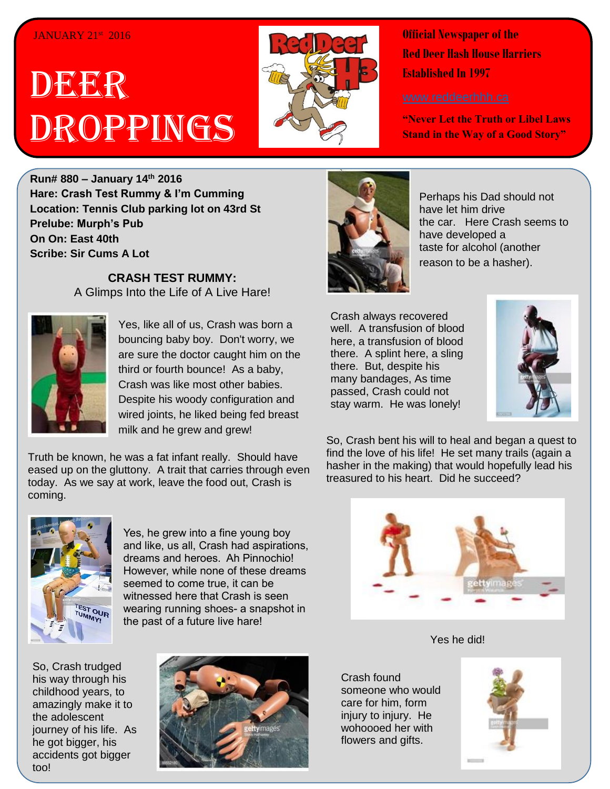## JANUARY 21<sup>st</sup> 2016

## DEER Droppings



**Official Newspaper of the Red Deer Hash House Harriers Established In 1997** 

**"Never Let the Truth or Libel Laws Stand in the Way of a Good Story"**

**Run# 880 – January 14th 2016 Hare: Crash Test Rummy & I'm Cumming Location: Tennis Club parking lot on 43rd St Prelube: Murph's Pub On On: East 40th Scribe: Sir Cums A Lot**

> **CRASH TEST RUMMY:** A Glimps Into the Life of A Live Hare!



Yes, like all of us, Crash was born a bouncing baby boy. Don't worry, we are sure the doctor caught him on the third or fourth bounce! As a baby, Crash was like most other babies. Despite his woody configuration and wired joints, he liked being fed breast milk and he grew and grew!

eased up on the gluttony. A trait that carries through even Truth be known, he was a fat infant really. Should have today. As we say at work, leave the food out, Crash is coming.



Yes, he grew into a fine young boy and like, us all, Crash had aspirations, dreams and heroes. Ah Pinnochio! However, while none of these dreams seemed to come true, it can be witnessed here that Crash is seen wearing running shoes- a snapshot in the past of a future live hare!

So, Crash trudged his way through his childhood years, to amazingly make it to the adolescent journey of his life. As he got bigger, his accidents got bigger too!





Perhaps his Dad should not have let him drive the car. Here Crash seems to have developed a taste for alcohol (another reason to be a hasher).

Crash always recovered well. A transfusion of blood here, a transfusion of blood there. A splint here, a sling there. But, despite his many bandages, As time passed, Crash could not stay warm. He was lonely!



So, Crash bent his will to heal and began a quest to find the love of his life! He set many trails (again a hasher in the making) that would hopefully lead his treasured to his heart. Did he succeed?



Yes he did!

Crash found someone who would care for him, form injury to injury. He wohoooed her with flowers and gifts.

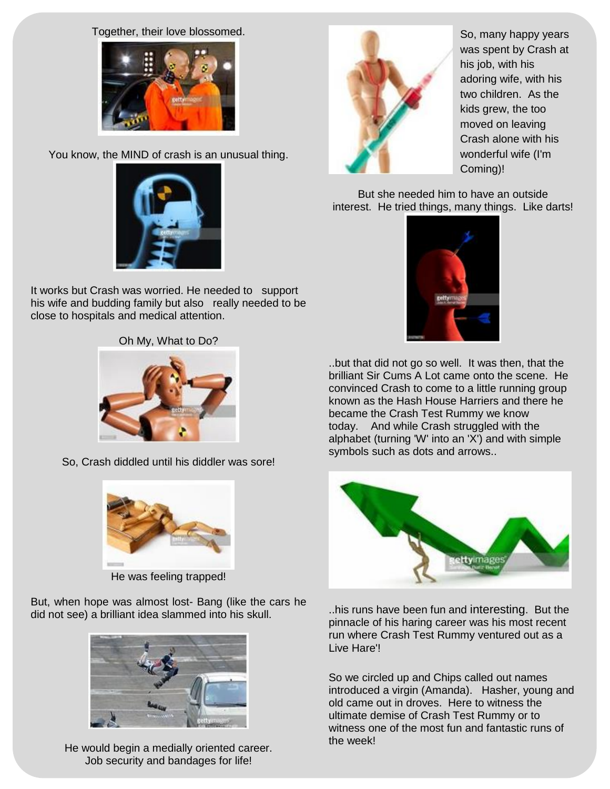Together, their love blossomed.



You know, the MIND of crash is an unusual thing.



It works but Crash was worried. He needed to support his wife and budding family but also really needed to be close to hospitals and medical attention.

Oh My, What to Do?



So, Crash diddled until his diddler was sore!



He was feeling trapped!

But, when hope was almost lost- Bang (like the cars he did not see) a brilliant idea slammed into his skull.



He would begin a medially oriented career. Job security and bandages for life!



So, many happy years was spent by Crash at his job, with his adoring wife, with his two children. As the kids grew, the too moved on leaving Crash alone with his wonderful wife (I'm Coming)!

But she needed him to have an outside interest. He tried things, many things. Like darts!



..but that did not go so well. It was then, that the brilliant Sir Cums A Lot came onto the scene. He convinced Crash to come to a little running group known as the Hash House Harriers and there he became the Crash Test Rummy we know today. And while Crash struggled with the alphabet (turning 'W' into an 'X') and with simple symbols such as dots and arrows..



..his runs have been fun and interesting. But the pinnacle of his haring career was his most recent run where Crash Test Rummy ventured out as a Live Hare'!

So we circled up and Chips called out names introduced a virgin (Amanda). Hasher, young and old came out in droves. Here to witness the ultimate demise of Crash Test Rummy or to witness one of the most fun and fantastic runs of the week!